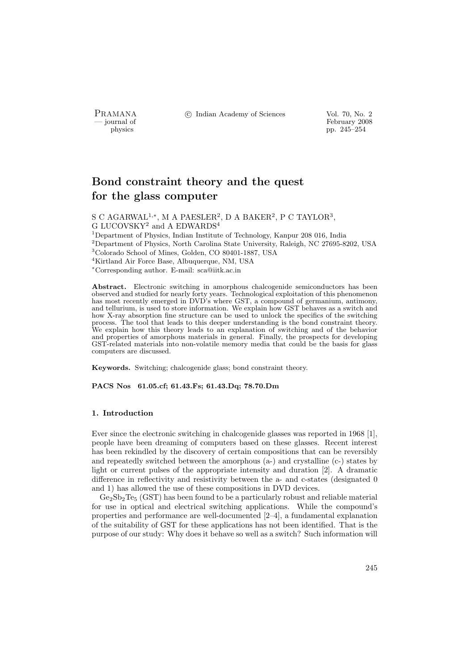PRAMANA °c Indian Academy of Sciences Vol. 70, No. 2

physics<br>
and the settlement of February 2008<br>
pp. 245–254 physics pp. 245–254

# Bond constraint theory and the quest for the glass computer

S C AGARWAL<sup>1,\*</sup>, M A PAESLER<sup>2</sup>, D A BAKER<sup>2</sup>, P C TAYLOR<sup>3</sup>, G LUCOVSKY<sup>2</sup> and A EDWARDS<sup>4</sup> <sup>1</sup>Department of Physics, Indian Institute of Technology, Kanpur 208 016, India <sup>2</sup>Department of Physics, North Carolina State University, Raleigh, NC 27695-8202, USA <sup>3</sup>Colorado School of Mines, Golden, CO 80401-1887, USA <sup>4</sup>Kirtland Air Force Base, Albuquerque, NM, USA <sup>∗</sup>Corresponding author. E-mail: sca@iitk.ac.in

Abstract. Electronic switching in amorphous chalcogenide semiconductors has been observed and studied for nearly forty years. Technological exploitation of this phenomenon has most recently emerged in DVD's where GST, a compound of germanium, antimony, and tellurium, is used to store information. We explain how GST behaves as a switch and how X-ray absorption fine structure can be used to unlock the specifics of the switching process. The tool that leads to this deeper understanding is the bond constraint theory. We explain how this theory leads to an explanation of switching and of the behavior and properties of amorphous materials in general. Finally, the prospects for developing GST-related materials into non-volatile memory media that could be the basis for glass computers are discussed.

Keywords. Switching; chalcogenide glass; bond constraint theory.

PACS Nos 61.05.cf; 61.43.Fs; 61.43.Dq; 78.70.Dm

## 1. Introduction

Ever since the electronic switching in chalcogenide glasses was reported in 1968 [1], people have been dreaming of computers based on these glasses. Recent interest has been rekindled by the discovery of certain compositions that can be reversibly and repeatedly switched between the amorphous (a-) and crystalline (c-) states by light or current pulses of the appropriate intensity and duration [2]. A dramatic difference in reflectivity and resistivity between the a- and c-states (designated 0 and 1) has allowed the use of these compositions in DVD devices.

 $Ge_2Sb_2Te_5$  (GST) has been found to be a particularly robust and reliable material for use in optical and electrical switching applications. While the compound's properties and performance are well-documented [2–4], a fundamental explanation of the suitability of GST for these applications has not been identified. That is the purpose of our study: Why does it behave so well as a switch? Such information will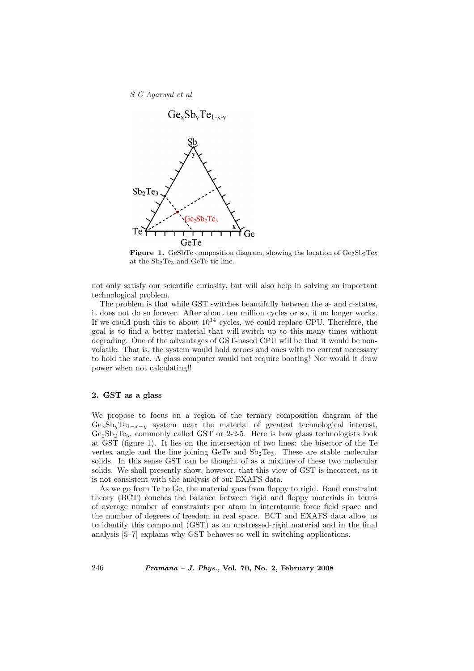S C Agarwal et al



**Figure 1.** GeSbTe composition diagram, showing the location of  $Ge_2Sb_2Te_5$ at the Sb2Te<sup>3</sup> and GeTe tie line.

not only satisfy our scientific curiosity, but will also help in solving an important technological problem.

The problem is that while GST switches beautifully between the a- and c-states, it does not do so forever. After about ten million cycles or so, it no longer works. If we could push this to about  $10^{14}$  cycles, we could replace CPU. Therefore, the goal is to find a better material that will switch up to this many times without degrading. One of the advantages of GST-based CPU will be that it would be nonvolatile. That is, the system would hold zeroes and ones with no current necessary to hold the state. A glass computer would not require booting! Nor would it draw power when not calculating!!

# 2. GST as a glass

We propose to focus on a region of the ternary composition diagram of the  $Ge_xSb_yTe_{1-x-y}$  system near the material of greatest technological interest,  $Ge_2Sb_2Te_5$ , commonly called GST or 2-2-5. Here is how glass technologists look at GST (figure 1). It lies on the intersection of two lines: the bisector of the Te vertex angle and the line joining GeTe and  $Sb<sub>2</sub>Te<sub>3</sub>$ . These are stable molecular solids. In this sense GST can be thought of as a mixture of these two molecular solids. We shall presently show, however, that this view of GST is incorrect, as it is not consistent with the analysis of our EXAFS data.

As we go from Te to Ge, the material goes from floppy to rigid. Bond constraint theory (BCT) couches the balance between rigid and floppy materials in terms of average number of constraints per atom in interatomic force field space and the number of degrees of freedom in real space. BCT and EXAFS data allow us to identify this compound (GST) as an unstressed-rigid material and in the final analysis [5–7] explains why GST behaves so well in switching applications.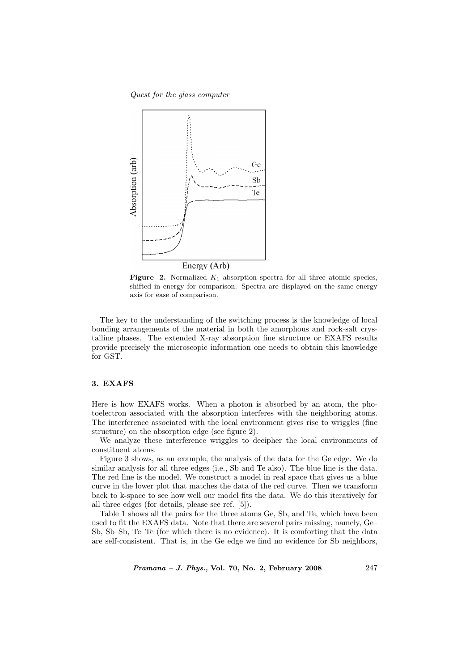Quest for the glass computer



**Figure 2.** Normalized  $K_1$  absorption spectra for all three atomic species, shifted in energy for comparison. Spectra are displayed on the same energy axis for ease of comparison.

The key to the understanding of the switching process is the knowledge of local bonding arrangements of the material in both the amorphous and rock-salt crystalline phases. The extended X-ray absorption fine structure or EXAFS results provide precisely the microscopic information one needs to obtain this knowledge for GST.

## 3. EXAFS

Here is how EXAFS works. When a photon is absorbed by an atom, the photoelectron associated with the absorption interferes with the neighboring atoms. The interference associated with the local environment gives rise to wriggles (fine structure) on the absorption edge (see figure 2).

We analyze these interference wriggles to decipher the local environments of constituent atoms.

Figure 3 shows, as an example, the analysis of the data for the Ge edge. We do similar analysis for all three edges (i.e., Sb and Te also). The blue line is the data. The red line is the model. We construct a model in real space that gives us a blue curve in the lower plot that matches the data of the red curve. Then we transform back to k-space to see how well our model fits the data. We do this iteratively for all three edges (for details, please see ref. [5]).

Table 1 shows all the pairs for the three atoms Ge, Sb, and Te, which have been used to fit the EXAFS data. Note that there are several pairs missing, namely, Ge– Sb, Sb–Sb, Te–Te (for which there is no evidence). It is comforting that the data are self-consistent. That is, in the Ge edge we find no evidence for Sb neighbors,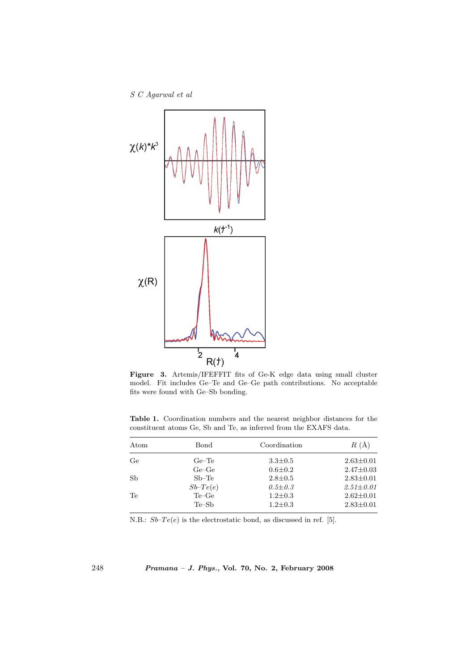S C Agarwal et al



Figure 3. Artemis/IFEFFIT fits of Ge-K edge data using small cluster model. Fit includes Ge–Te and Ge–Ge path contributions. No acceptable fits were found with Ge–Sb bonding.

Table 1. Coordination numbers and the nearest neighbor distances for the constituent atoms Ge, Sb and Te, as inferred from the EXAFS data.

| Atom      | Bond       | Coordination  | $R(\AA)$        |
|-----------|------------|---------------|-----------------|
| Ge        | $Ge$ -Te   | $3.3 \pm 0.5$ | $2.63 \pm 0.01$ |
|           | $Ge-Ge$    | $0.6 \pm 0.2$ | $2.47 \pm 0.03$ |
| <b>Sb</b> | $Sb-Te$    | $2.8 \pm 0.5$ | $2.83 \pm 0.01$ |
|           | $Sb-Te(e)$ | $0.5 \pm 0.3$ | $2.51 \pm 0.01$ |
| Te        | $Te-Ge$    | $1.2 \pm 0.3$ | $2.62 \pm 0.01$ |
|           | $Te-Sb$    | $1.2 \pm 0.3$ | $2.83 \pm 0.01$ |

N.B.:  $Sb-Te(e)$  is the electrostatic bond, as discussed in ref. [5].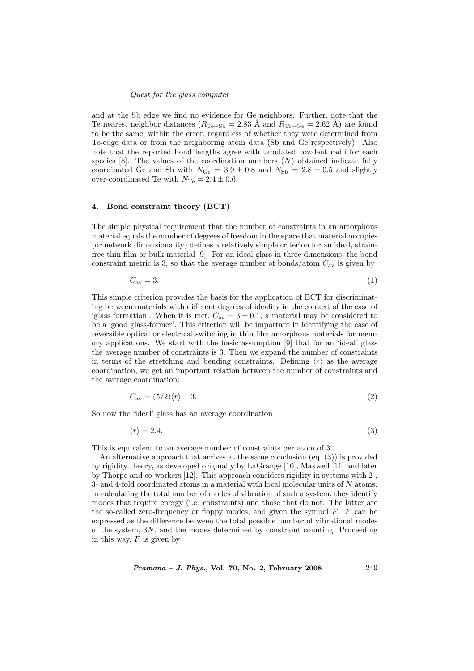## Quest for the glass computer

and at the Sb edge we find no evidence for Ge neighbors. Further, note that the Te nearest neighbor distances ( $R_{\text{Te-Sb}} = 2.83$  Å and  $R_{\text{Te-Ge}} = 2.62$  Å) are found to be the same, within the error, regardless of whether they were determined from Te-edge data or from the neighboring atom data (Sb and Ge respectively). Also note that the reported bond lengths agree with tabulated covalent radii for each species  $[8]$ . The values of the coordination numbers  $(N)$  obtained indicate fully coordinated Ge and Sb with  $N_{\text{Ge}} = 3.9 \pm 0.8$  and  $N_{\text{Sb}} = 2.8 \pm 0.5$  and slightly over-coordinated Te with  $N_{\text{Te}} = 2.4 \pm 0.6$ .

## 4. Bond constraint theory (BCT)

The simple physical requirement that the number of constraints in an amorphous material equals the number of degrees of freedom in the space that material occupies (or network dimensionality) defines a relatively simple criterion for an ideal, strainfree thin film or bulk material [9]. For an ideal glass in three dimensions, the bond constraint metric is 3, so that the average number of bonds/atom  $C_{\rm av}$  is given by

$$
C_{\rm av} = 3.\tag{1}
$$

This simple criterion provides the basis for the application of BCT for discriminating between materials with different degrees of ideality in the context of the ease of 'glass formation'. When it is met,  $C_{av} = 3 \pm 0.1$ , a material may be considered to be a 'good glass-former'. This criterion will be important in identifying the ease of reversible optical or electrical switching in thin film amorphous materials for memory applications. We start with the basic assumption [9] that for an 'ideal' glass the average number of constraints is 3. Then we expand the number of constraints in terms of the stretching and bending constraints. Defining  $\langle r \rangle$  as the average coordination, we get an important relation between the number of constraints and the average coordination:

$$
C_{\rm av} = (5/2)\langle r \rangle - 3. \tag{2}
$$

So now the 'ideal' glass has an average coordination

$$
\langle r \rangle = 2.4. \tag{3}
$$

This is equivalent to an average number of constraints per atom of 3.

An alternative approach that arrives at the same conclusion (eq. (3)) is provided by rigidity theory, as developed originally by LaGrange [10], Maxwell [11] and later by Thorpe and co-workers [12]. This approach considers rigidity in systems with 2-, 3- and 4-fold coordinated atoms in a material with local molecular units of N atoms. In calculating the total number of modes of vibration of such a system, they identify modes that require energy (i.e. constraints) and those that do not. The latter are the so-called zero-frequency or floppy modes, and given the symbol  $F$ .  $F$  can be expressed as the difference between the total possible number of vibrational modes of the system, 3N, and the modes determined by constraint counting. Proceeding in this way,  $F$  is given by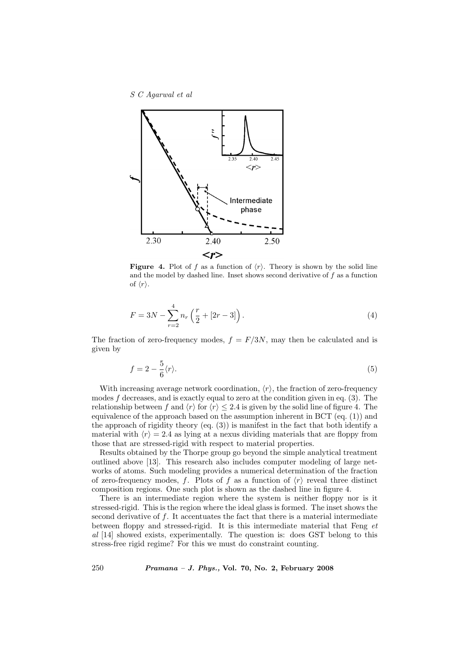S C Agarwal et al



**Figure 4.** Plot of f as a function of  $\langle r \rangle$ . Theory is shown by the solid line and the model by dashed line. Inset shows second derivative of  $f$  as a function of  $\langle r \rangle$ .

$$
F = 3N - \sum_{r=2}^{4} n_r \left(\frac{r}{2} + [2r - 3]\right). \tag{4}
$$

The fraction of zero-frequency modes,  $f = F/3N$ , may then be calculated and is given by

$$
f = 2 - \frac{5}{6} \langle r \rangle. \tag{5}
$$

With increasing average network coordination,  $\langle r \rangle$ , the fraction of zero-frequency modes f decreases, and is exactly equal to zero at the condition given in eq.  $(3)$ . The relationship between f and  $\langle r \rangle$  for  $\langle r \rangle \leq 2.4$  is given by the solid line of figure 4. The equivalence of the approach based on the assumption inherent in BCT (eq. (1)) and the approach of rigidity theory  $\left(\text{eq. } (3)\right)$  is manifest in the fact that both identify a material with  $\langle r \rangle = 2.4$  as lying at a nexus dividing materials that are floppy from those that are stressed-rigid with respect to material properties.

Results obtained by the Thorpe group go beyond the simple analytical treatment outlined above [13]. This research also includes computer modeling of large networks of atoms. Such modeling provides a numerical determination of the fraction of zero-frequency modes, f. Plots of f as a function of  $\langle r \rangle$  reveal three distinct composition regions. One such plot is shown as the dashed line in figure 4.

There is an intermediate region where the system is neither floppy nor is it stressed-rigid. This is the region where the ideal glass is formed. The inset shows the second derivative of f. It accentuates the fact that there is a material intermediate between floppy and stressed-rigid. It is this intermediate material that Feng et al [14] showed exists, experimentally. The question is: does GST belong to this stress-free rigid regime? For this we must do constraint counting.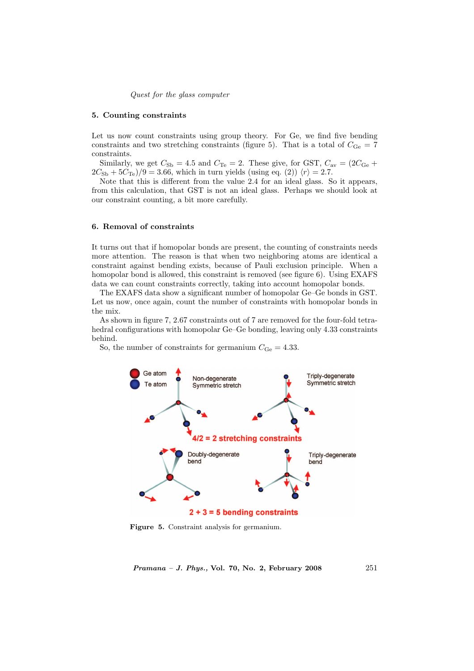Quest for the glass computer

#### 5. Counting constraints

Let us now count constraints using group theory. For Ge, we find five bending constraints and two stretching constraints (figure 5). That is a total of  $C_{\text{Ge}} = 7$ constraints.

Similarly, we get  $C_{\text{Sb}} = 4.5$  and  $C_{\text{Te}} = 2$ . These give, for GST,  $C_{\text{av}} = (2C_{\text{Ge}} +$  $2C_{\rm Sb} + 5C_{\rm Te})/9 = 3.66$ , which in turn yields (using eq. (2))  $\langle r \rangle = 2.7$ .

Note that this is different from the value 2.4 for an ideal glass. So it appears, from this calculation, that GST is not an ideal glass. Perhaps we should look at our constraint counting, a bit more carefully.

# 6. Removal of constraints

It turns out that if homopolar bonds are present, the counting of constraints needs more attention. The reason is that when two neighboring atoms are identical a constraint against bending exists, because of Pauli exclusion principle. When a homopolar bond is allowed, this constraint is removed (see figure 6). Using EXAFS data we can count constraints correctly, taking into account homopolar bonds.

The EXAFS data show a significant number of homopolar Ge–Ge bonds in GST. Let us now, once again, count the number of constraints with homopolar bonds in the mix.

As shown in figure 7, 2.67 constraints out of 7 are removed for the four-fold tetrahedral configurations with homopolar Ge–Ge bonding, leaving only 4.33 constraints behind.

So, the number of constraints for germanium  $C_{\text{Ge}} = 4.33$ .



Figure 5. Constraint analysis for germanium.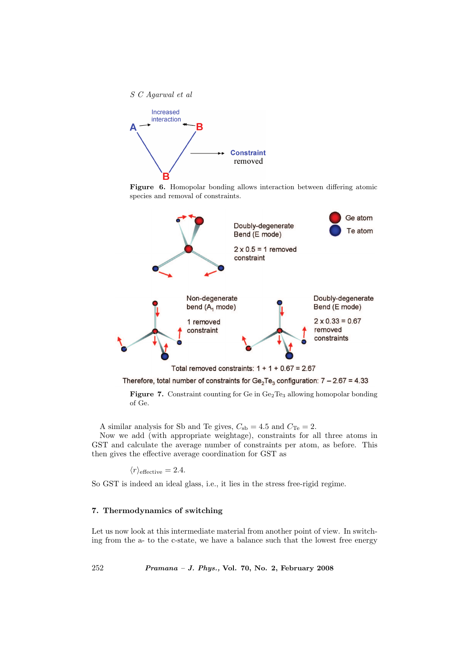

Figure 6. Homopolar bonding allows interaction between differing atomic species and removal of constraints.



Therefore, total number of constraints for  $Ge_2Te_3$  configuration:  $7-2.67 = 4.33$ 

Figure 7. Constraint counting for Ge in Ge<sub>2</sub>Te<sub>3</sub> allowing homopolar bonding of Ge.

A similar analysis for Sb and Te gives,  $C_{sb} = 4.5$  and  $C_{Te} = 2$ .

Now we add (with appropriate weightage), constraints for all three atoms in GST and calculate the average number of constraints per atom, as before. This then gives the effective average coordination for GST as

$$
\langle r \rangle_{\text{effective}} = 2.4.
$$

So GST is indeed an ideal glass, i.e., it lies in the stress free-rigid regime.

# 7. Thermodynamics of switching

Let us now look at this intermediate material from another point of view. In switching from the a- to the c-state, we have a balance such that the lowest free energy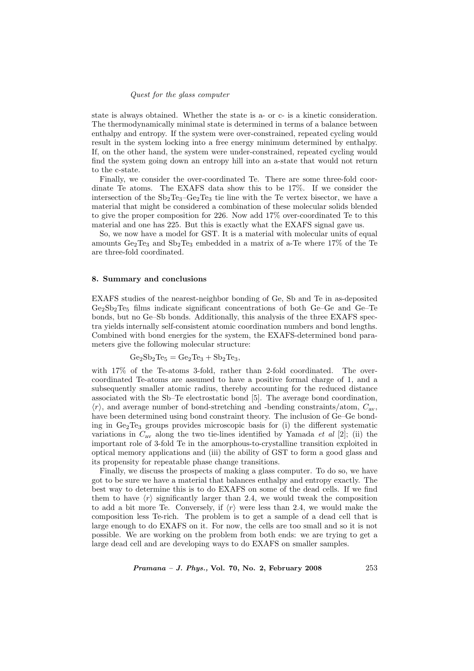# Quest for the glass computer

state is always obtained. Whether the state is a- or c- is a kinetic consideration. The thermodynamically minimal state is determined in terms of a balance between enthalpy and entropy. If the system were over-constrained, repeated cycling would result in the system locking into a free energy minimum determined by enthalpy. If, on the other hand, the system were under-constrained, repeated cycling would find the system going down an entropy hill into an a-state that would not return to the c-state.

Finally, we consider the over-coordinated Te. There are some three-fold coordinate Te atoms. The EXAFS data show this to be 17%. If we consider the intersection of the  $Sb_2Te_3-Ge_2Te_3$  tie line with the Te vertex bisector, we have a material that might be considered a combination of these molecular solids blended to give the proper composition for 226. Now add 17% over-coordinated Te to this material and one has 225. But this is exactly what the EXAFS signal gave us.

So, we now have a model for GST. It is a material with molecular units of equal amounts  $Ge_2Te_3$  and  $Sb_2Te_3$  embedded in a matrix of a-Te where 17% of the Te are three-fold coordinated.

#### 8. Summary and conclusions

EXAFS studies of the nearest-neighbor bonding of Ge, Sb and Te in as-deposited  $Ge_2Sb_2Te_5$  films indicate significant concentrations of both  $Ge-Ge$  and  $Ge-Te$ bonds, but no Ge–Sb bonds. Additionally, this analysis of the three EXAFS spectra yields internally self-consistent atomic coordination numbers and bond lengths. Combined with bond energies for the system, the EXAFS-determined bond parameters give the following molecular structure:

$$
Ge_2Sb_2Te_5 = Ge_2Te_3 + Sb_2Te_3,
$$

with 17% of the Te-atoms 3-fold, rather than 2-fold coordinated. The overcoordinated Te-atoms are assumed to have a positive formal charge of 1, and a subsequently smaller atomic radius, thereby accounting for the reduced distance associated with the Sb–Te electrostatic bond [5]. The average bond coordination,  $\langle r \rangle$ , and average number of bond-stretching and -bending constraints/atom,  $C_{\rm av}$ , have been determined using bond constraint theory. The inclusion of Ge–Ge bonding in  $Ge_2Te_3$  groups provides microscopic basis for (i) the different systematic variations in  $C_{\text{av}}$  along the two tie-lines identified by Yamada *et al* [2]; (ii) the important role of 3-fold Te in the amorphous-to-crystalline transition exploited in optical memory applications and (iii) the ability of GST to form a good glass and its propensity for repeatable phase change transitions.

Finally, we discuss the prospects of making a glass computer. To do so, we have got to be sure we have a material that balances enthalpy and entropy exactly. The best way to determine this is to do EXAFS on some of the dead cells. If we find them to have  $\langle r \rangle$  significantly larger than 2.4, we would tweak the composition to add a bit more Te. Conversely, if  $\langle r \rangle$  were less than 2.4, we would make the composition less Te-rich. The problem is to get a sample of a dead cell that is large enough to do EXAFS on it. For now, the cells are too small and so it is not possible. We are working on the problem from both ends: we are trying to get a large dead cell and are developing ways to do EXAFS on smaller samples.